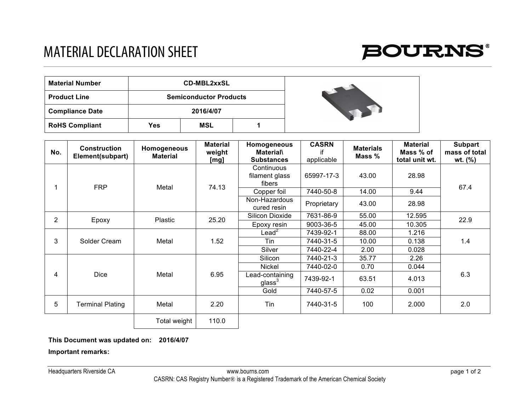## MATERIAL DECLARATION SHEET



| <b>Material Number</b> |     | <b>CD-MBL2xxSL</b>            |  |  |
|------------------------|-----|-------------------------------|--|--|
| <b>Product Line</b>    |     | <b>Semiconductor Products</b> |  |  |
| <b>Compliance Date</b> |     | 2016/4/07                     |  |  |
| <b>RoHS Compliant</b>  | Yes | <b>MSL</b>                    |  |  |

| No.            | <b>Construction</b><br>Element(subpart) | Homogeneous<br><b>Material</b> | <b>Material</b><br>weight<br>[mg] | Homogeneous<br><b>Material\</b><br><b>Substances</b> | <b>CASRN</b><br>if<br>applicable | <b>Materials</b><br>Mass % | <b>Material</b><br>Mass % of<br>total unit wt. | <b>Subpart</b><br>mass of total<br>wt. $(%)$ |
|----------------|-----------------------------------------|--------------------------------|-----------------------------------|------------------------------------------------------|----------------------------------|----------------------------|------------------------------------------------|----------------------------------------------|
|                | <b>FRP</b>                              | Metal                          | 74.13                             | Continuous<br>filament glass<br>fibers               | 65997-17-3                       | 43.00                      | 28.98                                          | 67.4                                         |
|                |                                         |                                |                                   | Copper foil                                          | 7440-50-8                        | 14.00                      | 9.44                                           |                                              |
|                |                                         |                                |                                   | Non-Hazardous<br>cured resin                         | Proprietary                      | 43.00                      | 28.98                                          |                                              |
| $\overline{2}$ | Epoxy                                   | Plastic                        | 25.20                             | Silicon Dioxide                                      | 7631-86-9                        | 55.00                      | 12.595                                         | 22.9                                         |
|                |                                         |                                |                                   | Epoxy resin                                          | 9003-36-5                        | 45.00                      | 10.305                                         |                                              |
| 3              | Solder Cream                            | Metal                          | 1.52                              | Lead $^2$                                            | 7439-92-1                        | 88.00                      | 1.216                                          | 1.4                                          |
|                |                                         |                                |                                   | Tin                                                  | 7440-31-5                        | 10.00                      | 0.138                                          |                                              |
|                |                                         |                                |                                   | Silver                                               | 7440-22-4                        | 2.00                       | 0.028                                          |                                              |
| 4              | <b>Dice</b>                             | Metal                          | 6.95                              | Silicon                                              | 7440-21-3                        | 35.77                      | 2.26                                           | 6.3                                          |
|                |                                         |                                |                                   | <b>Nickel</b>                                        | 7440-02-0                        | 0.70                       | 0.044                                          |                                              |
|                |                                         |                                |                                   | Lead-containing<br>glass $^3\,$                      | 7439-92-1                        | 63.51                      | 4.013                                          |                                              |
|                |                                         |                                |                                   | Gold                                                 | 7440-57-5                        | 0.02                       | 0.001                                          |                                              |
| 5              | Terminal Plating                        | Metal                          | 2.20                              | Tin                                                  | 7440-31-5                        | 100                        | 2.000                                          | 2.0                                          |
|                |                                         | Total weight                   | 110.0                             |                                                      |                                  |                            |                                                |                                              |

**This Document was updated on: 2016/4/07**

**Important remarks:**